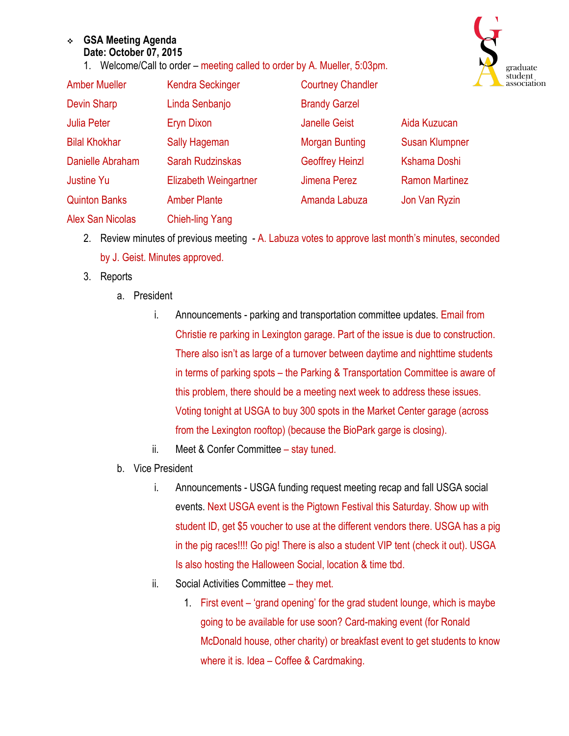## <sup>v</sup> **GSA Meeting Agenda Date: October 07, 2015**

1. Welcome/Call to order – meeting called to order by A. Mueller, 5:03pm.



| <b>Amber Mueller</b>    | <b>Kendra Seckinger</b>      | <b>Courtney Chandler</b> |                       |
|-------------------------|------------------------------|--------------------------|-----------------------|
| <b>Devin Sharp</b>      | Linda Senbanjo               | <b>Brandy Garzel</b>     |                       |
| <b>Julia Peter</b>      | Eryn Dixon                   | <b>Janelle Geist</b>     | Aida Kuzucan          |
| <b>Bilal Khokhar</b>    | <b>Sally Hageman</b>         | <b>Morgan Bunting</b>    | <b>Susan Klumpner</b> |
| Danielle Abraham        | <b>Sarah Rudzinskas</b>      | <b>Geoffrey Heinzl</b>   | Kshama Doshi          |
| <b>Justine Yu</b>       | <b>Elizabeth Weingartner</b> | <b>Jimena Perez</b>      | <b>Ramon Martinez</b> |
| <b>Quinton Banks</b>    | <b>Amber Plante</b>          | Amanda Labuza            | Jon Van Ryzin         |
| <b>Alex San Nicolas</b> | <b>Chieh-ling Yang</b>       |                          |                       |

- 2. Review minutes of previous meeting A. Labuza votes to approve last month's minutes, seconded by J. Geist. Minutes approved.
- 3. Reports
	- a. President
		- i. Announcements parking and transportation committee updates. Email from Christie re parking in Lexington garage. Part of the issue is due to construction. There also isn't as large of a turnover between daytime and nighttime students in terms of parking spots – the Parking & Transportation Committee is aware of this problem, there should be a meeting next week to address these issues. Voting tonight at USGA to buy 300 spots in the Market Center garage (across from the Lexington rooftop) (because the BioPark garge is closing).
		- ii. Meet & Confer Committee stay tuned.
	- b. Vice President
		- i. Announcements USGA funding request meeting recap and fall USGA social events. Next USGA event is the Pigtown Festival this Saturday. Show up with student ID, get \$5 voucher to use at the different vendors there. USGA has a pig in the pig races!!!! Go pig! There is also a student VIP tent (check it out). USGA Is also hosting the Halloween Social, location & time tbd.
		- ii. Social Activities Committee they met.
			- 1. First event 'grand opening' for the grad student lounge, which is maybe going to be available for use soon? Card-making event (for Ronald McDonald house, other charity) or breakfast event to get students to know where it is. Idea – Coffee & Cardmaking.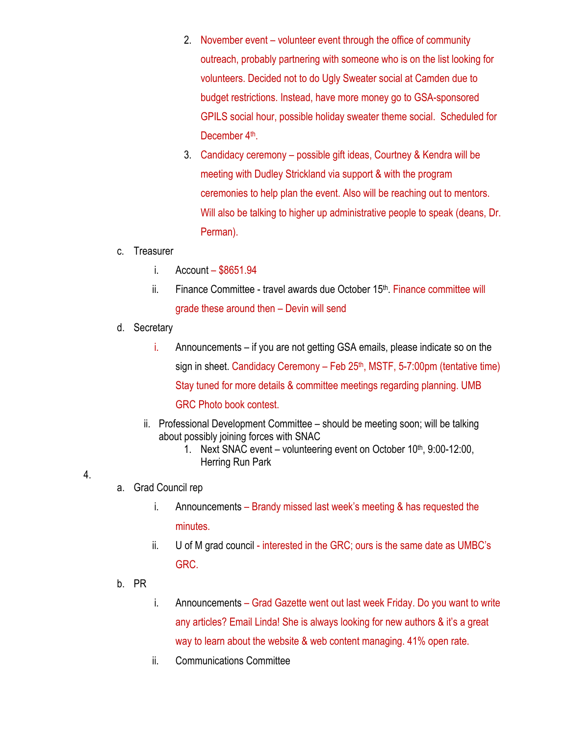- 2. November event volunteer event through the office of community outreach, probably partnering with someone who is on the list looking for volunteers. Decided not to do Ugly Sweater social at Camden due to budget restrictions. Instead, have more money go to GSA-sponsored GPILS social hour, possible holiday sweater theme social. Scheduled for December 4<sup>th</sup>.
- 3. Candidacy ceremony possible gift ideas, Courtney & Kendra will be meeting with Dudley Strickland via support & with the program ceremonies to help plan the event. Also will be reaching out to mentors. Will also be talking to higher up administrative people to speak (deans, Dr. Perman).
- c. Treasurer
	- i. Account \$8651.94
	- ii. Finance Committee travel awards due October  $15<sup>th</sup>$ . Finance committee will grade these around then – Devin will send
- d. Secretary
	- i. Announcements if you are not getting GSA emails, please indicate so on the sign in sheet. Candidacy Ceremony – Feb  $25<sup>th</sup>$ , MSTF, 5-7:00pm (tentative time) Stay tuned for more details & committee meetings regarding planning. UMB GRC Photo book contest.
	- ii. Professional Development Committee should be meeting soon; will be talking about possibly joining forces with SNAC
		- 1. Next SNAC event volunteering event on October 10<sup>th</sup>, 9:00-12:00, Herring Run Park
- 4.
- a. Grad Council rep
	- i. Announcements Brandy missed last week's meeting & has requested the minutes.
	- ii. U of M grad council interested in the GRC; ours is the same date as UMBC's GRC.
- b. PR
- i. Announcements Grad Gazette went out last week Friday. Do you want to write any articles? Email Linda! She is always looking for new authors & it's a great way to learn about the website & web content managing. 41% open rate.
- ii. Communications Committee